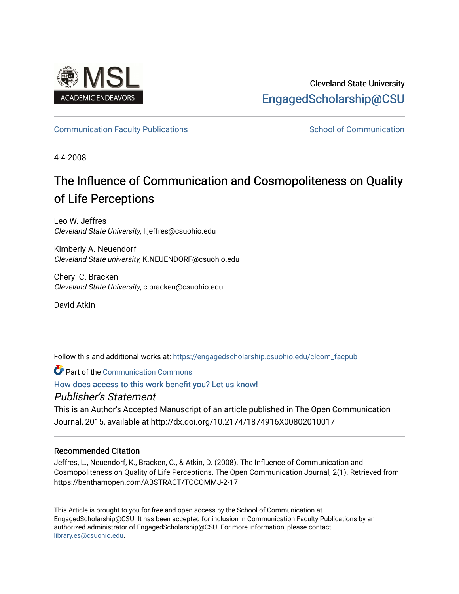

## Cleveland State University [EngagedScholarship@CSU](https://engagedscholarship.csuohio.edu/)

## [Communication Faculty Publications](https://engagedscholarship.csuohio.edu/clcom_facpub) [School of Communication](https://engagedscholarship.csuohio.edu/clcom) School of Communication

4-4-2008

# The Influence of Communication and Cosmopoliteness on Quality of Life Perceptions

Leo W. Jeffres Cleveland State University, l.jeffres@csuohio.edu

Kimberly A. Neuendorf Cleveland State university, K.NEUENDORF@csuohio.edu

Cheryl C. Bracken Cleveland State University, c.bracken@csuohio.edu

David Atkin

Follow this and additional works at: [https://engagedscholarship.csuohio.edu/clcom\\_facpub](https://engagedscholarship.csuohio.edu/clcom_facpub?utm_source=engagedscholarship.csuohio.edu%2Fclcom_facpub%2F27&utm_medium=PDF&utm_campaign=PDFCoverPages) 

Part of the [Communication Commons](http://network.bepress.com/hgg/discipline/325?utm_source=engagedscholarship.csuohio.edu%2Fclcom_facpub%2F27&utm_medium=PDF&utm_campaign=PDFCoverPages) 

[How does access to this work benefit you? Let us know!](http://library.csuohio.edu/engaged/)

## Publisher's Statement

This is an Author's Accepted Manuscript of an article published in The Open Communication Journal, 2015, available at http://dx.doi.org/10.2174/1874916X00802010017

### Recommended Citation

Jeffres, L., Neuendorf, K., Bracken, C., & Atkin, D. (2008). The Influence of Communication and Cosmopoliteness on Quality of Life Perceptions. The Open Communication Journal, 2(1). Retrieved from https://benthamopen.com/ABSTRACT/TOCOMMJ-2-17

This Article is brought to you for free and open access by the School of Communication at EngagedScholarship@CSU. It has been accepted for inclusion in Communication Faculty Publications by an authorized administrator of EngagedScholarship@CSU. For more information, please contact [library.es@csuohio.edu.](mailto:library.es@csuohio.edu)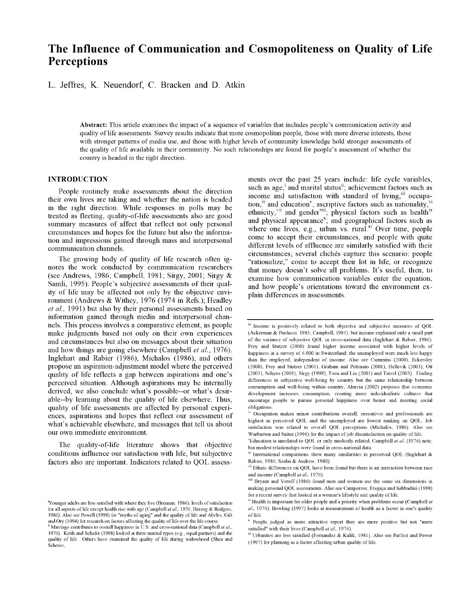## **The Influence of Communication and Cosmopoliteness on Quality of Life Perceptions**

L. Jeffres, K. Neuendorf, C. Bracken and D. Atkin

**Abstract:** This article examines the impact of a sequence of variables that includes people's communication activity and quality of life assessments. Survey results indicate that more cosmopolitan people, those with more diverse interests, those with stronger patterns of media use, and those with higher levels of community knowledge hold stronger assessments of the quality of life available in their community. No such relationships are found for people's assessment of whether the country is headed in the right direction.

#### **INTRODUCTION**

People routinely make assessments about the direction their own lives are taking and whether the nation is headed in the right direction. While responses in polls may be treated as fleeting, quality-of-life assessments also are good summary measures of affect that reflect not only personal circumstances and hopes for the future but also the information and impressions gained through mass and interpersonal communication channels.

The growing body of quality of life research often ignores the work conducted by communication researchers (see Andrews, 1986; Campbell, 1981; Sirgy, 2001; Sirgy & Samli, 1995). People's subjective assessments of their quality of life may be affected not only by the objective environment (Andrews & Withey, 1976 (1974 in Refs.); Headley *et al,* 1991) but also by their personal assessments based on information gained through media and interpersonal channels. This process involves a comparative element, as people make judgments based not only on their own experiences and circumstances but also on messages about their situation and how things are going elsewhere (Campbell *et al.,* 1976). Inglehart and Rabier (1986), Michalos (1986), and others propose an aspiration-adjustment model where the perceived quality of life reflects a gap between aspirations and one's perceived situation. Although aspirations may be internally derived, we also conclude what's possible—or what's desirable—by learning about the quality of life elsewhere. Thus, quality of life assessments are affected by personal experiences, aspirations and hopes that reflect our assessment of what's achievable elsewhere, and messages that tell us about our own immediate environment.

The quality-of-life literature shows that objective conditions influence our satisfaction with life, but subjective factors also are important. Indicators related to QOL assessments over the past 25 years include: life cycle variables, such as  $age<sub>i</sub><sup>1</sup>$  and marital status<sup>ii</sup>; achievement factors such as income and satisfaction with standard of living, $\frac{m}{1}$  occupation,<sup>iv</sup> and education<sup>v</sup>; ascriptive factors such as nationality,<sup>vi</sup> ethnicity,  $x^{\text{in}}$  and gender  $x^{\text{in}}$ ; physical factors such as health<sup>ix</sup> and physical appearance<sup>x</sup>; and geographical factors such as where one lives, e.g., urban vs. rural. $x_i$  Over time, people come to accept their circumstances, and people with quite different levels of affluence are similarly satisfied with their circumstances; several clichés capture this scenario: people "rationalize," come to accept their lot in life, or recognize that money doesn't solve all problems. It's useful, then, to examine how communication variables enter the equation, and how people's orientations toward the environment explain differences in assessments.

<sup>&</sup>lt;sup>1</sup>Younger adults are less satisfied with where they live (Brennan, 1986); levels of satisfaction for all aspects of life except health rise with age (Campbell et al., 1976; Herzog & Rodgers, 1986). Also see Powell (1998) for "myths of aging" and the quality of life and Abeles, Gift and Ory (1994) for research on factors affecting the quality of life over the life course.

<sup>&</sup>quot; Marriage contributes to overall happiness in U.S. and cross-national data (Campbell *et al.,* 1976). Keith and Schafer (1998) looked at three marital types (e.g., equal partners) and the quality of life. Others have examined the quality of life during widowhood (Shea and Schewe,

III Income is positively related to both objective and subjective measures of QOL (Ackerman & Paolucci, 1983; Campbell, 1981), but income explained only a small part of the variance of subjective QOL in cross-national data (Inglehart & Rabier, 1986). Frey and Stutzer (2000) found higher income associated with higher levels of happiness in a survey of 6,000 in Switzerland; the unemployed were much less happy than the employed, independent of income. Also see Cummins (2000), Eckersley (2000), Frey and Stutzer (2001), Graham and Pettinato (2001), Hellevik (2003), Ott (2001), Schyns (2001), Sirgy (1998), Tsou and Liu (2001) and Tatzel (2003). Finding differences in subjective well-being by country but the same relationship between consumption and well-being within country, Ahuvia (2002) proposes that economic development increases consumption, creating more individualistic cultures that encourage people to pursue personal happiness over honor and meeting social obligations.

Occupation makes minor contributions overall; executives and professionals are highest in perceived QOL and the unemployed are lowest ranking on QOL. Job satisfaction was related to overall QOL perceptions (Miehalos, 1986). Also see Warburton and Suiter (1996) for the impact of job dissatisfaction on quality of life.

vEducation is unrelated to QOL or only modestly related, Campbell *et al.* (1976) note, but modest relationships were found in cross-national data.

 $\overline{v}$  International comparisons show many similarities in perceived QOL (Inglehart & Rabier, 1986; Szalai & Andrew, 1980).

Ethnic differences on QOL have been found but there is an interaction between race and income (Campbell *et al.,* 1976).

Viii Bryant and Veroff (1986) found men and women use the same six dimensions in making personal QOL assessments. Also see Camporese, Freguja and Sabbadini (1998) for a recent survey that looked at a woman's lifestyle and quality of life.

 $\frac{dx}{dt}$  Health is important for older people and a priority when problems occur (Campbell *et al.,* 1976). Bowling (1997) looks at measurement of health as a factor in one's quality of life.

x People judged as more attractive report they are more positive but not "more satisfied" with their lives (Campbell et al., 1976).

<sup>&</sup>quot; Urbanites are less satisfied (Fernandez & Kulik, 1981). Also see Parfect and Power  $(1997)$  for planning as a factor affecting urban quality of life.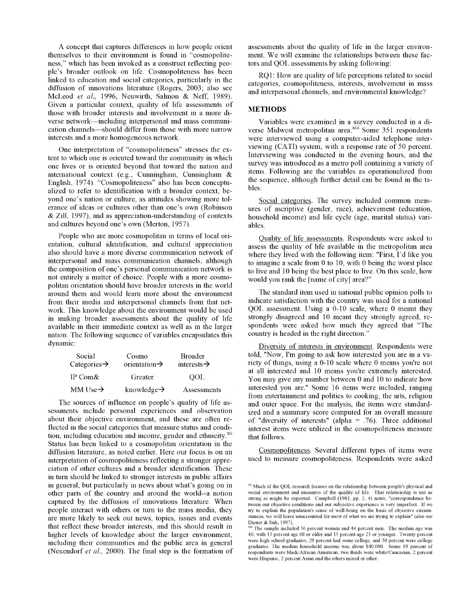A concept that captures differences in how people orient themselves to their environment is found in "cosmopoliteness," which has been invoked as a construct reflecting people's broader outlook on life. Cosmopoliteness has been linked to education and social categories, particularly in the diffusion of innovations literature (Rogers, 2003; also see McLeod *et al.,* 1996, Neuwirth, Salmon & Neff, 1989). Given a particular context, quality of life assessments of those with broader interests and involvement in a more diverse network—including interpersonal and mass communication channels—should differ from those with more narrow interests and a more homogeneous network.

One interpretation of "cosmopoliteness" stresses the extent to which one is oriented toward the community in which one lives or is oriented beyond that toward the nation and international context (e.g., Cunningham, Cunningham & English, 1974). "Cosmopoliteness" also has been conceptualized to refer to identification with a broader context, beyond one's nation or culture, as attitudes showing more tolerance of ideas or cultures other than one's own (Robinson & Zill, 1997), and as appreciation-understanding of contexts and cultures beyond one's own (Merton, 1957).

People who are more cosmopolitan in terms of local orientation, cultural identification, and cultural appreciation also should have a more diverse communication network of interpersonal and mass communication channels, although the composition of one's personal communication network is not entirely a matter of choice. People with a more cosmopolitan orientation should have broader interests in the world around them and would learn more about the environment from their media and interpersonal channels from that network. This knowledge about the environment would be used in making broader assessments about the quality of life available in their immediate context as well as in the larger nation. The following sequence of variables encapsulates this dynamic :

| Social<br>Categories $\rightarrow$ | Cosmo<br>orientation $\rightarrow$ | <b>Broader</b><br>interests $\rightarrow$ |  |
|------------------------------------|------------------------------------|-------------------------------------------|--|
| IP Com&                            | Greater                            | OOL                                       |  |
| MM Use $\rightarrow$               | knowledge $\rightarrow$            | Assessments                               |  |

The sources of influence on people's quality of life assessments include personal experiences and observation about their objective environment, and these are often reflected in the social categories that measure status and condition, including education and income, gender and ethnicity.<sup>xii</sup> Status has been linked to a cosmopolitan orientation in the diffusion literature, as noted earlier. Here our focus is on an interpretation of cosmopoliteness reflecting a stronger appreciation of other cultures and a broader identification. These in turn should be linked to stronger interests in public affairs in general, but particularly in news about what's going on in other parts of the country and around the world—a notion captured by the diffusion of innovations literature. When people interact with others or turn to the mass media, they are more likely to seek out news, topics, issues and events that reflect these broader interests, and this should result in higher levels of knowledge about the larger environment, including their communities and the public area in general (Neuendorf *et al.,* 2000). The final step is the formation of assessments about the quality of life in the larger environment. We will examine the relationships between these factors and QOL assessments by asking following:

RQ1: How are quality of life perceptions related to social categories, cosmopoliteness, interests, involvement in mass and interpersonal channels, and environmental knowledge?

#### **METHODS**

Variables were examined in a survey conducted in a diverse Midwest metropolitan area.<sup>xiii</sup> Some 351 respondents were interviewed using a computer-aided telephone interviewing (CATI) system, with a response rate of 50 percent. Interviewing was conducted in the evening hours, and the survey was introduced as a metro poll containing a variety of items. Following are the variables as operationalized from the sequence, although further detail can be found in the tables:

Social categories. The survey included common measures of ascriptive (gender, race), achievement (education, household income) and life cycle (age, marital status) variables.

Quality of life assessments. Respondents were asked to assess the quality of life available in the metropolitan area where they lived with the following item: "First, I'd like you to imagine a scale from 0 to 10, with 0 being the worst place to live and 10 being the best place to live. On this scale, how would you rank the [name of city] area?"

The standard item used in national public opinion polls to indicate satisfaction with the country was used for a national QOL assessment. Using a 0-10 scale, where 0 meant they strongly disagreed and 10 meant they strongly agreed, respondents were asked how much they agreed that "The country is headed in the right direction."

Diversity of interests in environment. Respondents were told, "Now, I'm going to ask how interested you are in a variety of things, using a 0-10 scale where 0 means you're not at all interested and 10 means you're extremely interested. You may give any number between 0 and 10 to indicate how interested you are." Some 16 items were included, ranging from entertainment and politics to cooking, the arts, religion and outer space. For the analysis, the items were standardized and a summary score computed for an overall measure of "diversity of interests" (alpha = .76). Three additional interest items were utilized in the cosmopoliteness measure that follows.

Cosmopoliteness. Several different types of items were used to measure cosmopoliteness. Respondents were asked

<sup>&</sup>lt;sup>xii</sup> Much of the QOL research focuses on the relationship between people's physical and social environment and measures of the quality of life. That relationship is not as strong as might be expected. Campbell (1981, pp. 2, 4) notes, "correspondence between our objective conditions and our subjective experience is very imperfect. If we try to explain the population's sense of well-being on the basis of objective circumstances, we will leave unaccounted for most of what we are trying to explain" (also see Diener & Suh, 1997).

The sample included 56 percent women and 44 percent men. The median age was 40, with 15 percent age 60 or older and 15 percent age 25 or younger. Twenty percent were high school graduates, 29 percent had some college, and 30 percent were college graduates. The median household income was about \$40,000. Some 19 percent of respondents were black/African American, two thirds were white/Caucasian, 2 percent were Hispanic, 2 percent Asian and the others mixed or other.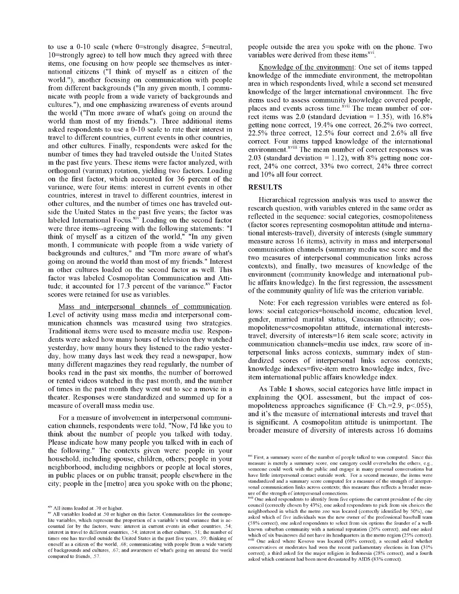to use a 0-10 scale (where 0=strongly disagree, 5=neutral, 10=strongly agree) to tell how much they agreed with three items, one focusing on how people see themselves as international citizens ("I think of myself as a citizen of the world."), another focusing on communication with people from different backgrounds ("In any given month, I communicate with people from a wide variety of backgrounds and cultures."), and one emphasizing awareness of events around the world ("I'm more aware of what's going on around the world than most of my friends."). Three additional items asked respondents to use a 0-10 scale to rate their interest in travel to different countries, current events in other countries, and other cultures. Finally, respondents were asked for the number of times they had traveled outside the United States in the past five years. These items were factor analyzed, with orthogonal (varimax) rotation, yielding two factors. Loading on the first factor, which accounted for 36 percent of the variance, were four items: interest in current events in other countries, interest in travel to different countries, interest in other cultures, and the number of times one has traveled outside the United States in the past five years; the factor was labeled International Focus. $\overline{x}$ <sup>iv</sup> Loading on the second factor were three items—agreeing with the following statements: "I think of myself as a citizen of the world," "In any given month, I communicate with people from a wide variety of backgrounds and cultures," and "I'm more aware of what's going on around the world than most of my friends." Interest in other cultures loaded on the second factor as well. This factor was labeled Cosmopolitan Communication and Attitude; it accounted for  $17.3$  percent of the variance.<sup>xv</sup> Factor scores were retained for use as variables.

Mass and interpersonal channels of communication. Level of activity using mass media and interpersonal communication channels was measured using two strategies. Traditional items were used to measure media use. Respondents were asked how many hours of television they watched yesterday, how many hours they listened to the radio yesterday, how many days last week they read a newspaper, how many different magazines they read regularly, the number of books read in the past six months, the number of borrowed or rented videos watched in the past month, and the number of times in the past month they went out to see a movie in a theater. Responses were standardized and summed up for a measure of overall mass media use.

For a measure of involvement in interpersonal communication channels, respondents were told, "Now, I'd like you to think about the number of people you talked with today. Please indicate how many people you talked with in each of the following." The contexts given were: people in your household, including spouse, children, others; people in your neighborhood, including neighbors or people at local stores, in public places or on public transit; people elsewhere in the city; people in the [metro] area you spoke with on the phone; people outside the area you spoke with on the phone. Two variables were derived from these items<sup>xvi</sup>.

Knowledge of the environment: One set of items tapped knowledge of the immediate environment, the metropolitan area in which respondents lived, while a second set measured knowledge of the larger international environment. The five items used to assess community knowledge covered people, places and events across time.<sup>xvii</sup> The mean number of correct items was 2.0 (standard deviation =  $1.35$ ), with  $16.8\%$ getting none correct, 19.4% one correct, 26.2% two correct, 22.5% three correct, 12.5% four correct and 2.6% all five correct. Four items tapped knowledge of the international environment. $x^{viii}$  The mean number of correct responses was 2.03 (standard deviation  $= 1.12$ ), with 8% getting none correct, 24% one correct, 33% two correct, 24% three correct and 10% all four correct.

#### **RESULTS**

Hierarchical regression analysis was used to answer the research question, with variables entered in the same order as reflected in the sequence: social categories, cosmopoliteness (factor scores representing cosmopolitan attitude and international interests-travel), diversity of interests (single summary measure across 16 items), activity in mass and interpersonal communication channels (summary media use score and the two measures of interpersonal communication links across contexts), and finally, two measures of knowledge of the environment (community knowledge and international public affairs knowledge). In the first regression, the assessment of the community quality of life was the criterion variable.

Note: For each regression variables were entered as follows: social categories=household income, education level, gender, married marital status, Caucasian ethnicity; cosmopoliteness=cosmopolitan attitude, international intereststravel; diversity of interests=16 item scale score; activity in communication channels=media use index, raw score of interpersonal links across contexts, summary index of standardized scores of interpersonal links across contexts; knowledge indexes=five-item metro knowledge index, fiveitem international public affairs knowledge index.

As Table 1 shows, social categories have little impact in explaining the QOL assessment, but the impact of cosmopoliteness approaches significance (F Ch.=2.9, p<055), and it's the measure of international interests and travel that is significant. A cosmopolitan attitude is unimportant. The broader measure of diversity of interests across 16 domains

<sup>&</sup>lt;sup>xiv</sup> All items loaded at .70 or higher.

xv All variables loaded at .50 or higher on this factor. Communalities for the cosmopolite variables, which represent the proportion of a variable's total variance that is accounted for by the factors, were: interest in current events in other countries, .54; interest in travel to different countries, .54; interest in other cultures, .51; the number of times one has traveled outside the United States in the past five years, .59; thinking of oneself as a citizen of the world, .68; communicating with people from a wide variety of backgrounds and cultures, .67; and awareness of what's going on around the world compared to friends, .57.

<sup>&</sup>lt;sup>xvi</sup> First, a summary score of the number of people talked to was computed. Since this measure is merely a summary score, one category could overwhelm the others, e.g., someone could work with the public and engage in many personal conversations but have little interpersonal contact outside work. For a second measure, the items were standardized and a summary score computed for a measure of the strength of interpersonal communication links across contexts; this measure thus reflects a broader measure of the strength of interpersonal connections.

 $\bar{m}$  One asked respondents to identify from five options the current president of the city council (correctly chosen by 43%), one asked respondents to pick from six choices the neighborhood in which the metro zoo was located (correctly identified by 50%), one asked which of five individuals was the new owner of the professional baseball team (58% correct), one asked respondents to select from six options the founder of a wellknown suburban community with a national reputation (26% correct), and one asked which of six businesses did not have its headquarters in the metro region (25% correct). One asked where Kosovo was located (60% correct), a second asked whether conservatives or moderates had won the recent parliamentary elections in Iran (31% correct), a third asked for the major religion in Indonesia (28% correct), and a fourth asked which continent had been most devastated by AIDS (83% correct).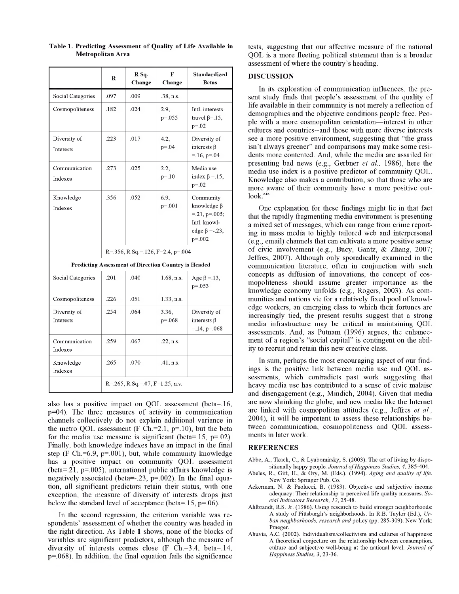|                                                             | R                                     | R Sq.<br>Change | F<br>Change          | Standardized<br><b>Betas</b>                                                                             |  |
|-------------------------------------------------------------|---------------------------------------|-----------------|----------------------|----------------------------------------------------------------------------------------------------------|--|
| Social Categories                                           | .097                                  | .009            | .38, n.s.            |                                                                                                          |  |
| Cosmopoliteness                                             | .182                                  | .024            | 2.9,<br>$p = 0.055$  | Intl. interests-<br>travel $\beta$ =.15,<br>$p = 0.02$                                                   |  |
| Diversity of<br>Interests                                   | .223                                  | .017            | 4.2,<br>$p = 0.04$   | Diversity of<br>interests $\beta$<br>$=.16, p=.04$                                                       |  |
| Communication<br>Indexes                                    | .273                                  | .025            | 2.2,<br>$p = 0.10$   | Media use<br>index $\beta = 15$ ,<br>$p = 0.02$                                                          |  |
| Knowledge<br>Indexes                                        | .356                                  | .052            | 6.9,<br>$p = 0.001$  | Community<br>knowledge $\beta$<br>$=.21, p=.005;$<br>Intl. knowl-<br>edge $\beta = -23$ ,<br>$p = 0.002$ |  |
|                                                             | $R = 356$ , R Sq = 126, F=2.4, p=.004 |                 |                      |                                                                                                          |  |
| <b>Predicting Assessment of Direction Country is Headed</b> |                                       |                 |                      |                                                                                                          |  |
| Social Categories                                           | .201                                  | .040            | $1.68$ , n.s.        | Age $\beta = 13$ ,<br>$p = 0.053$                                                                        |  |
| Cosmopoliteness                                             | .226                                  | .051            | 1.33, n.s.           |                                                                                                          |  |
| Diversity of<br><b>Interests</b>                            | .254                                  | .064            | 3.36,<br>$p = 0.068$ | Diversity of<br>interests $\beta$<br>$= 14, p = 068$                                                     |  |
| Communication<br>Indexes                                    | .259                                  | .067            | .22, n.s.            |                                                                                                          |  |
| Knowledge<br>Indexes                                        | .265                                  | .070            | .41, n.s.            |                                                                                                          |  |
|                                                             | $R = 265$ , R Sq. = 07, F=1.25, n.s.  |                 |                      |                                                                                                          |  |

**Table 1. Predicting Assessment of Quality of Life Available in Metropolitan Area**

also has a positive impact on QOL assessment (beta=.16, p=04). The three measures of activity in communication channels collectively do not explain additional variance in the metro QOL assessment (F Ch.= $2.1$ , p=.10), but the beta for the media use measure is significant (beta=.15,  $p=0.02$ ). Finally, both knowledge indexes have an impact in the final step (F Ch.= $6.9$ , p=.001), but, while community knowledge has a positive impact on community QOL assessment (beta=.21, p=.005), international public affairs knowledge is negatively associated (beta—.23, p=.002). In the final equation, all significant predictors retain their status, with one exception, the measure of diversity of interests drops just below the standard level of acceptance (beta=.15, p=.06).

In the second regression, the criterion variable was respondents' assessment of whether the country was headed in the right direction. As Table <sup>1</sup> shows, none of the blocks of variables are significant predictors, although the measure of diversity of interests comes close (F Ch.=3.4, beta=.14, p=.068). In addition, the final equation fails the significance

tests, suggesting that our affective measure of the national QOL is a more fleeting political statement than is a broader assessment of where the country's heading.

#### **DISCUSSION**

In its exploration of communication influences, the present study finds that people's assessment of the quality of life available in their community is not merely a reflection of demographics and the objective conditions people face. People with a more cosmopolitan orientation—interest in other cultures and countries—and those with more diverse interests see a more positive environment, suggesting that "the grass isn't always greener" and comparisons may make some residents more contented. And, while the media are assailed for presenting bad news (e.g., Gerbner *et al.,* 1986), here the media use index is a positive predictor of community QOL. Knowledge also makes a contribution, so that those who are more aware of their community have a more positive outlook.<sup>xix</sup>

One explanation for these findings might lie in that fact that the rapidly fragmenting media environment is presenting a mixed set of messages, which can range from crime reporting in mass media to highly tailored web and interpersonal (e.g., email) channels that can cultivate a more positive sense of civic involvement (e.g., Bucy, Gantz, & Zhang, 2007; Jeffres, 2007). Although only sporadically examined in the communication literature, often in conjunction with such concepts as diffusion of innovations, the concept of cosmopoliteness should assume greater importance as the knowledge economy unfolds (e.g., Rogers, 2003). As communities and nations vie for a relatively fixed pool of knowledge workers, an emerging class to which their fortunes are increasingly tied, the present results suggest that a strong media infrastructure may be critical in maintaining QOL assessments. And, as Putnam (1996) argues, the enhancement of a region's "social capital" is contingent on the ability to recruit and retain this new creative class.

In sum, perhaps the most encouraging aspect of our findings is the positive link between media use and QOL assessments, which contradicts past work suggesting that heavy media use has contributed to a sense of civic malaise and disengagement (e.g., Mindich, 2004). Given that media are now shrinking the globe, and new media like the Internet are linked with cosmopolitan attitudes (e.g., Jeffres *et al.,* 2004), it will be important to assess these relationships between communication, cosmopoliteness and QOL assessments in later work.

#### **REFERENCES**

- Abbe, A., Tkach, C., & Lyubomirsky, S. (2003). The art of living by dispositionally happy people. Journal of Happiness Studies, 4, 385-404.
- Abeles, R., Gift, H., & Ory, M. (Eds.). (1994). Aging and quality of life. New York: Springer Pub. Co.
- Ackerman, N. & Paolucci, B. (1983). Objective and subjective income adequacy: Their relationship to perceived life quality measures. *SocialIndicators Research, 12,* 25-48.
- Ahlbrandt, R.S. Jr. (1986). Using research to build stronger neighborhoods: A study of Pittsburgh's neighborhoods. In R.B. Taylor (Ed.), *Urban neighborhoods, research and* policy (pp. 285-309). New York: Praeger.
- Ahuvia, A.C. (2002). Individualism/collectivism and cultures of happiness: A theoretical conjecture on the relationship between consumption, culture and subjective well-being at the national level. *Journal of Happiness Studies, 3,* 23-36.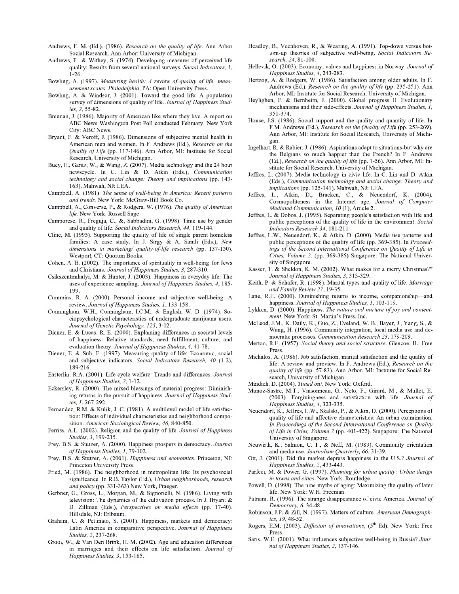- Andrews, F. M. (Ed.). (1986). *Research on the quality of life.* Ann Arbor Social Research. Ann Arbor: University of Michigan.
- Andrews, F., & Withey, S. (1974). Developing measures of perceived life quality: Results from several national surveys. *Social Indicators, 1,* 1-26.
- Bowling, A. (1997). *Measuring health: A review of quality of life measurementscales. Philadelphia,* PA: Open University Press.
- Bowling, A. & Windsor, J. (2001). Toward the good life: A population survey of dimensions of quality of life. *Journal of Happiness Studies, 2,* 55-82.
- Brennan, J. (1986). Majority of American like where they live. A report on ABC News Washington Post Poll conducted February. New York City: ABC News.
- Bryant, F. & Veroff, J. (1986). Dimensions of subjective mental health in American men and women. In F. Andrews (Ed.), *Research on the Quality of Life* (pp. 117-146). Ann Arbor, MI: Institute for Social Research, University of Michigan.
- Bucy, E., Gantz, W., & Wang, Z. (2007). Media technology and the 24 hour newscycle. In C. Lin & D. Atkin (Eds.), *Communication technology and social change: Theory and implications* (pp. 143- 163). Mahwah, NJ: LEA.
- Campbell, A. (1981). *The sense ofwell-being in America: Recent patterns and trends.* New York: McGraw-Hill Book Co.
- Campbell, A., Converse, P., & Rodgers, W. (1976). *The quality of American life.* New York: Russell Sage.
- Camporese, R., Freguja, C., &, Sabbadini, G. (1998). Time use by gender and quality of life. *Social Indicators Research*, 44, 119-144.
- Cline, M. (1995). Supporting the quality of life of single parent homeless families: A case study. In J. Sirgy & A. Samli (Eds.), *New dimensions in marketing/ quality-of-life research* (pp. 137-150). Westport, CT: Quorum Books.
- Cohen, A. B. (2002). The importance of spirituality in well-being for Jews and Christians. *Journal ofHappiness Studies, 3,* 287-310.
- Csikszentmihalyi, M. & Hunter, J. (2003). Happiness in everyday life: The uses of experience sampling. *Journal ofHappiness Studies, 4,* 185- 199.
- Cummins, R. A. (2000). Personal income and subjective well-being: A review. *Journal ofHappiness Studies, 1,* 133-158.
- Cunningham, W.H., Cunningham, I.C.M., & English, W. D. (1974). Sociopsychological characteristics of undergraduate marijuana users. *Journal ofGenetic Psychology, 125,* 3-12.
- Diener, E. & Lucas. R. E. (2000). Explaining differences in societal levels of happiness: Relative standards, need fulfillment, culture, and evaluation theory. Journal of Happiness Studies, 4, 41-78.
- Diener, E. & Suh, E. (1997). Measuring quality of life: Economic, social and subjective indicators. *Social Indicators Research, 40* (1-2), 189-216.
- Easterlin, R.A. (2001). Life cycle welfare: Trends and differences. *Journal ofHappiness Studies, 2,* 1-12.
- Eckersley, R. (2000). The mixed blessings of material progress: Diminishing returns in the pursuit of happiness. Journal of Happiness Stud*ies, 1, 267-292.*
- Fernandez, R.M. & Kulik, J. C. (1981). A multilevel model of life satisfaction: Effects of individual characteristics and neighborhood composition. *American Sociological Review, 46,* 840-850.
- Ferriss, A.L. (2002). Religion and the quality of life. *Journal of Happiness Studies, 3,* 199-215.
- Frey, B.S. & Stutzer, A. (2000). Happiness prospers in democracy. *Journal ofHappiness Studies,* 7, 79-102.
- Frey, B.S. & Stutzer, A. (2001). *Happiness and economics.* Princeton, NJ: Princeton University Press.
- Fried, M. (1986). The neighborhood in metropolitan life: Its psychosocial significance. In R.B. Taylor (Ed.), *Urban neighborhoods, research andpolicy* (pp. 331-363) New York, Praeger.
- Gerbner, G., Gross, L., Morgan, M., & Signorielli, N. (1986). Living with television: The dynamics of the cultivation process. In J. Bryant & D. Zillman (Eds.), *Perspectives on media effects* (pp. 17-40). Hillsdale, NJ: Erlbaum.
- Graham, C. & Pettinato, S. (2001). Happiness, markets and democracy: Latin America in comparative perspective. Journal of Happiness *Studies, 2,* 237-268.
- Groot, W., & Van Den Brink, H. M. (2002). Age and education differences in marriages and their effects on life satisfaction. *Journal of Happiness Studies, 3,* 153-165.
- Headley, B., Veenhoven, R., & Wearing, A. (1991). Top-down versus bottom-up theories of subjective well-being. *Social Indicators Research, 24,* 81-100.
- Hellevik, O. (2003). Economy, values and happiness in Norway. *Journal of Happiness Studies, 4,* 243-283.
- Hertzog, A. & Rodgers, W. (1986). Satisfaction among older adults. In F. Andrews (Ed.). *Research on the quality of life* (pp. 235-251). Ann Arbor, MI: Institute for Social Research, University of Michigan.
- Heylighen, F. & Bernheim, J. (2000). Global progress II: Evolutionary mechanisms and their side-effects. Journal of Happiness Studies, 1, 351-374.
- House, J.S. (1986). Social support and the quality and quantity of life. In F.M. Andrews (Ed.), *Research on the Quality ofLife* (pp. 253-269). Ann Arbor, MI: Institute for Social Research, University of Michigan.
- Ingelhart, R. & Rabier, J. (1986). Aspirations adapt to situations-but why are the Belgians so much happier than the French? In F. Andrews (Ed.), *Research on the quality of life* (pp. 1-56). Ann Arbor, MI: Institute for Social Research, University of Michigan.
- Jeffres, L. (2007). Media technology in civic life. In C. Lin and D. Atkin (Eds.), *Communication technology and social change: Theory and implications* (pp. 125-141). Mahwah, NJ: LEA.
- Jeffres, L., Atkin, D., Bracken, C., & Neuendorf, K. (2004). Cosmopoliteness in the Internet age. *Journal of Computer Mediated Communication, 10 (1), Article 2.*
- Jeffres, L. & Dobos, J. (1995). Separating people's satisfaction with life and public perceptions of the quality of life in the environment. *Social Indicators Research 34,* 181-211.
- Jeffres, L.W., Neuendorf, K., & Atkin, D. (2000). Media use patterns and public perceptions of the quality of life (pp. 369-385). In *Proceedings of the Second International Conference on Quality of Life in Cities, Volume 2.* (pp. 369-385) Singapore: The National University of Singapore.
- Kasser, T. & Sheldon, K. M. (2002). What makes for a merry Christmas?" *Journal ofHappiness Studies, 3,* 313-329.
- Keith, P. & Schafer, R. (1998). Marital types and quality of life. *Marriage andFamily Review 27,* 19-35.
- Lane, R.E. (2000). Diminishing returns to income, companionship—and happiness. *Journal ofHappiness Studies, 1,* 103-119.
- Lykken, D. (2000). Happiness: *The nature and nurture ofjoy and contentment.* New York: St. Martin's Press, Inc.
- McLeod, J.M., K. Daily, K., Guo, Z., Eveland, W. B., Bayer, J., Yang, S., & Wang, H. (1996). Community integration, local media use and democratic processes. *Communication Research 23,* 179-209.
- Merton, R.E. (1957). *Social theory and social structure.* Glencoe, IL: Free Press.
- Michalos, A. (1986). Job satisfaction, marital satisfaction and the quality of life: A review and preview. In F. Andrews (Ed.), *Research on the quality of life* (pp. 57-83). Ann Arbor, MI: Institute for Social Research, University of Michigan.
- Mindich, D. (2004). *Tuned out.* New York: Oxford.
- Munoz-Sastre, M.T., Vinsonneau, G., Neto, F., Girard, M., & Mullet, E. (2003). Forgivingness and satisfaction with life. *Journal of Happiness Studies, 4,* 323-335.
- Neuendorf, K., Jeffres, L.W., Skalski, P., & Atkin, D. (2000). Perceptions of quality of life and affective characteristics: An urban examination. *In Proceedings of the Second International Conference on Quality ofLife in Cities, Volume 2* (pp. 401-422). Singapore: The National University of Singapore.
- Neuwirth, K., Salmon, C. T., & Neff, M. (1989). Community orientation and media use. *Journalism Quarterly, 66,* 31-39.
- Ott, J. (2001). Did the market depress happiness in the U.S.? *Journal of Happiness Studies, 2,*433-443.
- Parfect, M. & Power, G. (1997). *Planning for urban quality: Urban design in towns and cities.* New York. Routledge.
- Powell, D. (1998). The nine myths of aging: Maximizing the quality of later life. New York: W.H. Freeman.
- Putnam, R. (1996). The strange disappearance of civic America. *Journal of Democracy, 6,* 34-48.
- Robinson, J.P. & Zill, N. (1997). Matters of culture. *American Demographics, 19,* 48-52.
- Rogers, E.M. (2003). *Diffusion of innovations*, (5<sup>th</sup> Ed). New York: Free Press.
- Saris, W.E. (2001). What influences subjective well-being in Russia? *Journal ofHappiness Studies, 2,* 137-146.